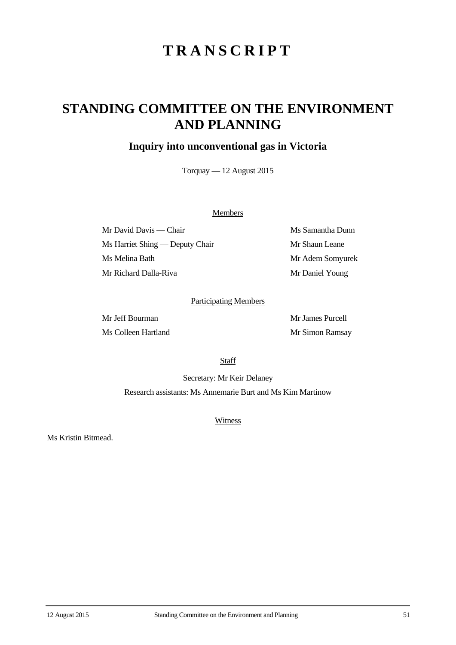# **TRANSCRIPT**

## **STANDING COMMITTEE ON THE ENVIRONMENT AND PLANNING**

### **Inquiry into unconventional gas in Victoria**

Torquay — 12 August 2015

#### **Members**

Mr David Davis — Chair Ms Samantha Dunn Ms Harriet Shing — Deputy Chair Mr Shaun Leane Ms Melina Bath Mr Adem Somyurek Mr Richard Dalla-Riva Mr Daniel Young

#### Participating Members

Mr Jeff Bourman Mr James Purcell Ms Colleen Hartland Mr Simon Ramsay

**Staff** 

Secretary: Mr Keir Delaney Research assistants: Ms Annemarie Burt and Ms Kim Martinow

**Witness** 

Ms Kristin Bitmead.